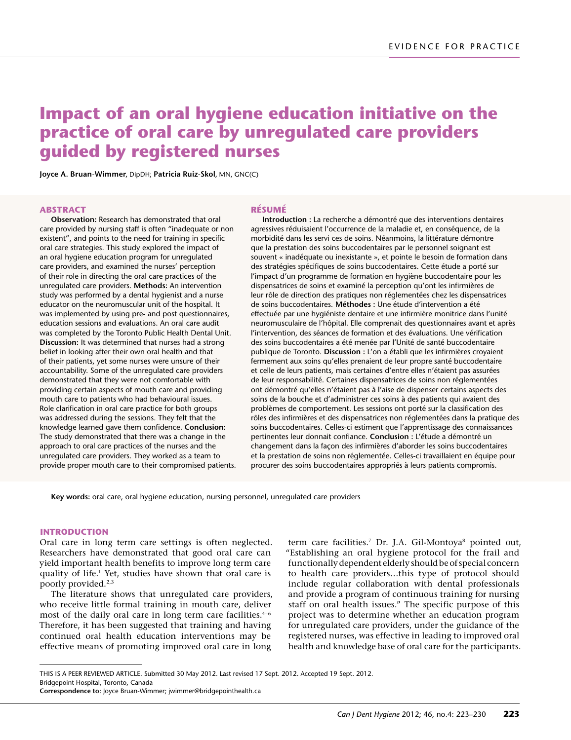# **Impact of an oral hygiene education initiative on the practice of oral care by unregulated care providers guided by registered nurses**

**Joyce A. Bruan-Wimmer,** DipDH; **Patricia Ruiz-Skol,** MN, GNC(C)

#### **ABSTRACT**

**Observation:** Research has demonstrated that oral care provided by nursing staff is often "inadequate or non existent", and points to the need for training in specific oral care strategies. This study explored the impact of an oral hygiene education program for unregulated care providers, and examined the nurses' perception of their role in directing the oral care practices of the unregulated care providers. **Methods:** An intervention study was performed by a dental hygienist and a nurse educator on the neuromuscular unit of the hospital. It was implemented by using pre- and post questionnaires, education sessions and evaluations. An oral care audit was completed by the Toronto Public Health Dental Unit. **Discussion:** It was determined that nurses had a strong belief in looking after their own oral health and that of their patients, yet some nurses were unsure of their accountability. Some of the unregulated care providers demonstrated that they were not comfortable with providing certain aspects of mouth care and providing mouth care to patients who had behavioural issues. Role clarification in oral care practice for both groups was addressed during the sessions. They felt that the knowledge learned gave them confidence. **Conclusion:** The study demonstrated that there was a change in the approach to oral care practices of the nurses and the unregulated care providers. They worked as a team to provide proper mouth care to their compromised patients.

#### **RÉSUMÉ**

**Introduction :** La recherche a démontré que des interventions dentaires agressives réduisaient l'occurrence de la maladie et, en conséquence, de la morbidité dans les servi ces de soins. Néanmoins, la littérature démontre que la prestation des soins buccodentaires par le personnel soignant est souvent « inadéquate ou inexistante », et pointe le besoin de formation dans des stratégies spécifiques de soins buccodentaires. Cette étude a porté sur l'impact d'un programme de formation en hygiène buccodentaire pour les dispensatrices de soins et examiné la perception qu'ont les infirmières de leur rôle de direction des pratiques non réglementées chez les dispensatrices de soins buccodentaires. **Méthodes :** Une étude d'intervention a été effectuée par une hygiéniste dentaire et une infirmière monitrice dans l'unité neuromusculaire de l'hôpital. Elle comprenait des questionnaires avant et après l'intervention, des séances de formation et des évaluations. Une vérification des soins buccodentaires a été menée par l'Unité de santé buccodentaire publique de Toronto. **Discussion :** L'on a établi que les infirmières croyaient fermement aux soins qu'elles prenaient de leur propre santé buccodentaire et celle de leurs patients, mais certaines d'entre elles n'étaient pas assurées de leur responsabilité. Certaines dispensatrices de soins non réglementées ont démontré qu'elles n'étaient pas à l'aise de dispenser certains aspects des soins de la bouche et d'administrer ces soins à des patients qui avaient des problèmes de comportement. Les sessions ont porté sur la classification des rôles des infirmières et des dispensatrices non réglementées dans la pratique des soins buccodentaires. Celles-ci estiment que l'apprentissage des connaissances pertinentes leur donnait confiance. **Conclusion :** L'étude a démontré un changement dans la façon des infirmières d'aborder les soins buccodentaires et la prestation de soins non réglementée. Celles-ci travaillaient en équipe pour procurer des soins buccodentaires appropriés à leurs patients compromis.

**Key words:** oral care, oral hygiene education, nursing personnel, unregulated care providers

#### **INTRODUCTION**

Oral care in long term care settings is often neglected. Researchers have demonstrated that good oral care can yield important health benefits to improve long term care quality of life*.* 1 Yet, studies have shown that oral care is poorly provided.2,3

The literature shows that unregulated care providers, who receive little formal training in mouth care, deliver most of the daily oral care in long term care facilities. $4-6$ Therefore, it has been suggested that training and having continued oral health education interventions may be effective means of promoting improved oral care in long

term care facilities.<sup>7</sup> Dr. J.A. Gil-Montoya<sup>8</sup> pointed out, "Establishing an oral hygiene protocol for the frail and functionally dependent elderly should be of special concern to health care providers…this type of protocol should include regular collaboration with dental professionals and provide a program of continuous training for nursing staff on oral health issues." The specific purpose of this project was to determine whether an education program for unregulated care providers, under the guidance of the registered nurses, was effective in leading to improved oral health and knowledge base of oral care for the participants.

THIS IS A PEER REVIEWED ARTICLE. Submitted 30 May 2012. Last revised 17 Sept. 2012. Accepted 19 Sept. 2012. Bridgepoint Hospital, Toronto, Canada

**Correspondence to:** Joyce Bruan-Wimmer; [jwimmer@bridgepointhealth.ca](mailto:jwimmer%40bridgepointhealth.ca?subject=CJDH-Impact%20of%20an%20oral%20hygiene%20education%20initiative%20on%20the%20practice%20of%20oral%20care%20by%20unregulated%20care%20providers%20guided%20by%20registered%20nurses)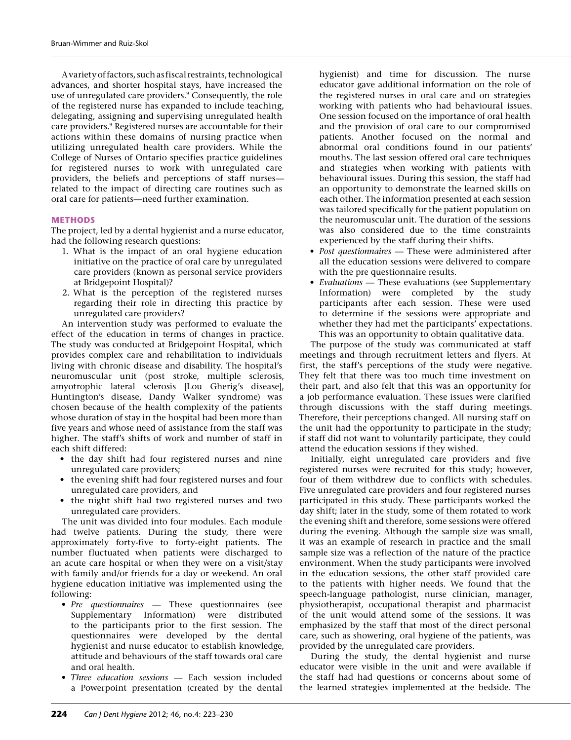A variety of factors, such as fiscal restraints, technological advances, and shorter hospital stays, have increased the use of unregulated care providers.<sup>9</sup> Consequently, the role of the registered nurse has expanded to include teaching, delegating, assigning and supervising unregulated health care providers.<sup>9</sup> Registered nurses are accountable for their actions within these domains of nursing practice when utilizing unregulated health care providers. While the College of Nurses of Ontario specifies practice guidelines for registered nurses to work with unregulated care providers, the beliefs and perceptions of staff nurses related to the impact of directing care routines such as oral care for patients—need further examination.

## **METHODS**

The project, led by a dental hygienist and a nurse educator, had the following research questions:

- 1. What is the impact of an oral hygiene education initiative on the practice of oral care by unregulated care providers (known as personal service providers at Bridgepoint Hospital)?
- 2. What is the perception of the registered nurses regarding their role in directing this practice by unregulated care providers?

An intervention study was performed to evaluate the effect of the education in terms of changes in practice. The study was conducted at Bridgepoint Hospital, which provides complex care and rehabilitation to individuals living with chronic disease and disability. The hospital's neuromuscular unit (post stroke, multiple sclerosis, amyotrophic lateral sclerosis [Lou Gherig's disease], Huntington's disease, Dandy Walker syndrome) was chosen because of the health complexity of the patients whose duration of stay in the hospital had been more than five years and whose need of assistance from the staff was higher. The staff's shifts of work and number of staff in each shift differed:

- • the day shift had four registered nurses and nine unregulated care providers;
- the evening shift had four registered nurses and four unregulated care providers, and
- the night shift had two registered nurses and two unregulated care providers.

The unit was divided into four modules. Each module had twelve patients. During the study, there were approximately forty-five to forty-eight patients. The number fluctuated when patients were discharged to an acute care hospital or when they were on a visit/stay with family and/or friends for a day or weekend. An oral hygiene education initiative was implemented using the following:

- *• Pre questionnaires* These questionnaires (see Supplementary Information) were distributed to the participants prior to the first session. The questionnaires were developed by the dental hygienist and nurse educator to establish knowledge, attitude and behaviours of the staff towards oral care and oral health.
- *• Three education sessions* Each session included a Powerpoint presentation (created by the dental

hygienist) and time for discussion. The nurse educator gave additional information on the role of the registered nurses in oral care and on strategies working with patients who had behavioural issues. One session focused on the importance of oral health and the provision of oral care to our compromised patients. Another focused on the normal and abnormal oral conditions found in our patients' mouths. The last session offered oral care techniques and strategies when working with patients with behavioural issues. During this session, the staff had an opportunity to demonstrate the learned skills on each other. The information presented at each session was tailored specifically for the patient population on the neuromuscular unit. The duration of the sessions was also considered due to the time constraints experienced by the staff during their shifts.

- *• Post questionnaires*  These were administered after all the education sessions were delivered to compare with the pre questionnaire results.
- *• Evaluations*  These evaluations (see Supplementary Information) were completed by the study participants after each session. These were used to determine if the sessions were appropriate and whether they had met the participants' expectations. This was an opportunity to obtain qualitative data.

The purpose of the study was communicated at staff meetings and through recruitment letters and flyers. At first, the staff's perceptions of the study were negative. They felt that there was too much time investment on their part, and also felt that this was an opportunity for a job performance evaluation. These issues were clarified through discussions with the staff during meetings. Therefore, their perceptions changed. All nursing staff on the unit had the opportunity to participate in the study; if staff did not want to voluntarily participate, they could attend the education sessions if they wished.

Initially, eight unregulated care providers and five registered nurses were recruited for this study; however, four of them withdrew due to conflicts with schedules. Five unregulated care providers and four registered nurses participated in this study. These participants worked the day shift; later in the study, some of them rotated to work the evening shift and therefore, some sessions were offered during the evening. Although the sample size was small, it was an example of research in practice and the small sample size was a reflection of the nature of the practice environment. When the study participants were involved in the education sessions, the other staff provided care to the patients with higher needs. We found that the speech-language pathologist, nurse clinician, manager, physiotherapist, occupational therapist and pharmacist of the unit would attend some of the sessions. It was emphasized by the staff that most of the direct personal care, such as showering, oral hygiene of the patients, was provided by the unregulated care providers.

During the study, the dental hygienist and nurse educator were visible in the unit and were available if the staff had had questions or concerns about some of the learned strategies implemented at the bedside. The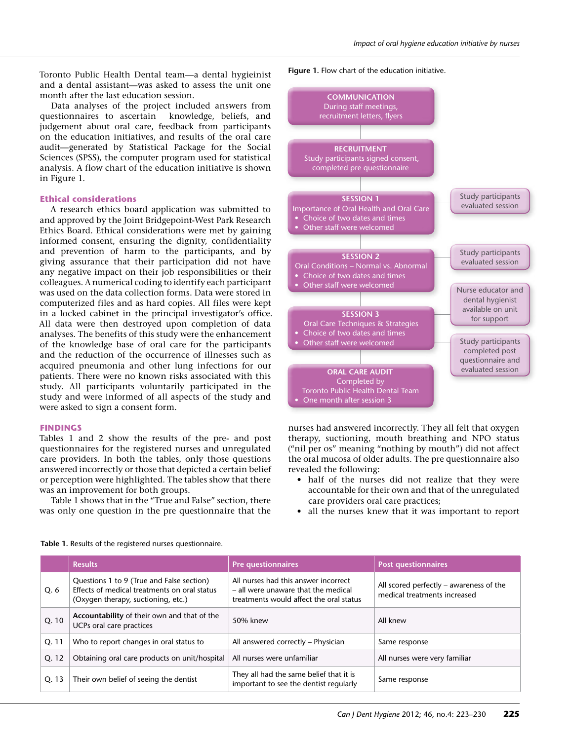Toronto Public Health Dental team—a dental hygieinist and a dental assistant—was asked to assess the unit one month after the last education session.

Data analyses of the project included answers from questionnaires to ascertain knowledge, beliefs, and judgement about oral care, feedback from participants on the education initiatives, and results of the oral care audit—generated by Statistical Package for the Social Sciences (SPSS), the computer program used for statistical analysis. A flow chart of the education initiative is shown in Figure 1.

### **Ethical considerations**

A research ethics board application was submitted to and approved by the Joint Bridgepoint-West Park Research Ethics Board. Ethical considerations were met by gaining informed consent, ensuring the dignity, confidentiality and prevention of harm to the participants, and by giving assurance that their participation did not have any negative impact on their job responsibilities or their colleagues. A numerical coding to identify each participant was used on the data collection forms. Data were stored in computerized files and as hard copies. All files were kept in a locked cabinet in the principal investigator's office. All data were then destroyed upon completion of data analyses. The benefits of this study were the enhancement of the knowledge base of oral care for the participants and the reduction of the occurrence of illnesses such as acquired pneumonia and other lung infections for our patients. There were no known risks associated with this study. All participants voluntarily participated in the study and were informed of all aspects of the study and were asked to sign a consent form.

## **FINDINGS**

Tables 1 and 2 show the results of the pre- and post questionnaires for the registered nurses and unregulated care providers. In both the tables, only those questions answered incorrectly or those that depicted a certain belief or perception were highlighted. The tables show that there was an improvement for both groups.

Table 1 shows that in the "True and False" section, there was only one question in the pre questionnaire that the

**Figure 1.** Flow chart of the education initiative.



nurses had answered incorrectly. They all felt that oxygen therapy, suctioning, mouth breathing and NPO status ("nil per os" meaning "nothing by mouth") did not affect the oral mucosa of older adults. The pre questionnaire also revealed the following:

- half of the nurses did not realize that they were accountable for their own and that of the unregulated care providers oral care practices;
- • all the nurses knew that it was important to report

|  |  | Table 1. Results of the registered nurses questionnaire. |
|--|--|----------------------------------------------------------|
|  |  |                                                          |

|       | <b>Results</b>                                                                                                                  | <b>Pre questionnaires</b>                                                                                              | <b>Post questionnaires</b>                                              |
|-------|---------------------------------------------------------------------------------------------------------------------------------|------------------------------------------------------------------------------------------------------------------------|-------------------------------------------------------------------------|
| Q. 6  | Questions 1 to 9 (True and False section)<br>Effects of medical treatments on oral status<br>(Oxygen therapy, suctioning, etc.) | All nurses had this answer incorrect<br>- all were unaware that the medical<br>treatments would affect the oral status | All scored perfectly – awareness of the<br>medical treatments increased |
| Q. 10 | Accountability of their own and that of the<br>UCPs oral care practices                                                         | 50% knew                                                                                                               | All knew                                                                |
| Q. 11 | Who to report changes in oral status to                                                                                         | All answered correctly - Physician                                                                                     | Same response                                                           |
| Q. 12 | Obtaining oral care products on unit/hospital                                                                                   | All nurses were unfamiliar                                                                                             | All nurses were very familiar                                           |
| Q. 13 | Their own belief of seeing the dentist                                                                                          | They all had the same belief that it is<br>important to see the dentist regularly                                      | Same response                                                           |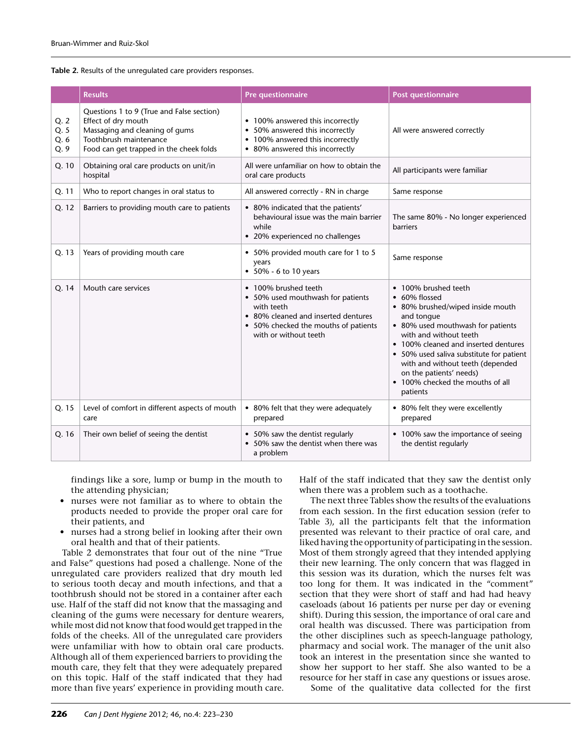**Table 2.** Results of the unregulated care providers responses.

|                              | <b>Results</b>                                                                                                                                                          | <b>Pre questionnaire</b>                                                                                                                                                        | <b>Post questionnaire</b>                                                                                                                                                                                                                                                                                                                                 |
|------------------------------|-------------------------------------------------------------------------------------------------------------------------------------------------------------------------|---------------------------------------------------------------------------------------------------------------------------------------------------------------------------------|-----------------------------------------------------------------------------------------------------------------------------------------------------------------------------------------------------------------------------------------------------------------------------------------------------------------------------------------------------------|
| Q. 2<br>Q. 5<br>Q. 6<br>Q. 9 | Questions 1 to 9 (True and False section)<br>Effect of dry mouth<br>Massaging and cleaning of gums<br>Toothbrush maintenance<br>Food can get trapped in the cheek folds | • 100% answered this incorrectly<br>• 50% answered this incorrectly<br>• 100% answered this incorrectly<br>• 80% answered this incorrectly                                      | All were answered correctly                                                                                                                                                                                                                                                                                                                               |
| Q. 10                        | Obtaining oral care products on unit/in<br>hospital                                                                                                                     | All were unfamiliar on how to obtain the<br>oral care products                                                                                                                  | All participants were familiar                                                                                                                                                                                                                                                                                                                            |
| Q. 11                        | Who to report changes in oral status to                                                                                                                                 | All answered correctly - RN in charge                                                                                                                                           | Same response                                                                                                                                                                                                                                                                                                                                             |
| Q. 12                        | Barriers to providing mouth care to patients                                                                                                                            | • 80% indicated that the patients'<br>behavioural issue was the main barrier<br>while<br>• 20% experienced no challenges                                                        | The same 80% - No longer experienced<br>barriers                                                                                                                                                                                                                                                                                                          |
| Q. 13                        | Years of providing mouth care                                                                                                                                           | • 50% provided mouth care for 1 to 5<br>years<br>• $50\%$ - 6 to 10 years                                                                                                       | Same response                                                                                                                                                                                                                                                                                                                                             |
| Q. 14                        | Mouth care services                                                                                                                                                     | • 100% brushed teeth<br>• 50% used mouthwash for patients<br>with teeth<br>• 80% cleaned and inserted dentures<br>• 50% checked the mouths of patients<br>with or without teeth | • 100% brushed teeth<br>• 60% flossed<br>• 80% brushed/wiped inside mouth<br>and tonque<br>• 80% used mouthwash for patients<br>with and without teeth<br>• 100% cleaned and inserted dentures<br>• 50% used saliva substitute for patient<br>with and without teeth (depended<br>on the patients' needs)<br>• 100% checked the mouths of all<br>patients |
| Q. 15                        | Level of comfort in different aspects of mouth<br>care                                                                                                                  | • 80% felt that they were adequately<br>prepared                                                                                                                                | • 80% felt they were excellently<br>prepared                                                                                                                                                                                                                                                                                                              |
| Q. 16                        | Their own belief of seeing the dentist                                                                                                                                  | • 50% saw the dentist regularly<br>• 50% saw the dentist when there was<br>a problem                                                                                            | • 100% saw the importance of seeing<br>the dentist regularly                                                                                                                                                                                                                                                                                              |

findings like a sore, lump or bump in the mouth to the attending physician;

- • nurses were not familiar as to where to obtain the products needed to provide the proper oral care for their patients, and
- nurses had a strong belief in looking after their own oral health and that of their patients.

Table 2 demonstrates that four out of the nine "True and False" questions had posed a challenge. None of the unregulated care providers realized that dry mouth led to serious tooth decay and mouth infections, and that a toothbrush should not be stored in a container after each use. Half of the staff did not know that the massaging and cleaning of the gums were necessary for denture wearers, while most did not know that food would get trapped in the folds of the cheeks. All of the unregulated care providers were unfamiliar with how to obtain oral care products. Although all of them experienced barriers to providing the mouth care, they felt that they were adequately prepared on this topic. Half of the staff indicated that they had more than five years' experience in providing mouth care.

Half of the staff indicated that they saw the dentist only when there was a problem such as a toothache.

The next three Tables show the results of the evaluations from each session. In the first education session (refer to Table 3), all the participants felt that the information presented was relevant to their practice of oral care, and liked having the opportunity of participating in the session. Most of them strongly agreed that they intended applying their new learning. The only concern that was flagged in this session was its duration, which the nurses felt was too long for them. It was indicated in the "comment" section that they were short of staff and had had heavy caseloads (about 16 patients per nurse per day or evening shift). During this session, the importance of oral care and oral health was discussed. There was participation from the other disciplines such as speech-language pathology, pharmacy and social work. The manager of the unit also took an interest in the presentation since she wanted to show her support to her staff. She also wanted to be a resource for her staff in case any questions or issues arose.

Some of the qualitative data collected for the first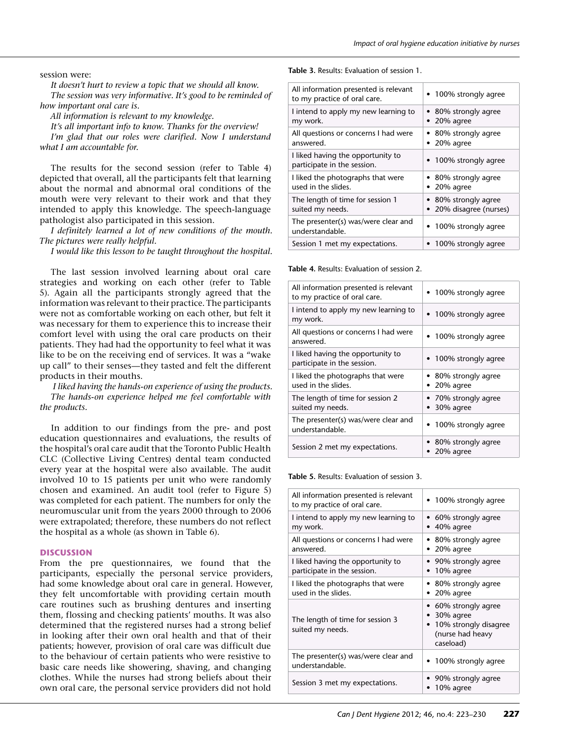session were:

*It doesn't hurt to review a topic that we should all know. The session was very informative. It's good to be reminded of how important oral care is.*

*All information is relevant to my knowledge.*

*It's all important info to know. Thanks for the overview! I'm glad that our roles were clarified. Now I understand what I am accountable for.*

The results for the second session (refer to Table 4) depicted that overall, all the participants felt that learning about the normal and abnormal oral conditions of the mouth were very relevant to their work and that they intended to apply this knowledge. The speech-language pathologist also participated in this session.

*I definitely learned a lot of new conditions of the mouth. The pictures were really helpful.*

*I would like this lesson to be taught throughout the hospital.*

The last session involved learning about oral care strategies and working on each other (refer to Table 5). Again all the participants strongly agreed that the information was relevant to their practice. The participants were not as comfortable working on each other, but felt it was necessary for them to experience this to increase their comfort level with using the oral care products on their patients. They had had the opportunity to feel what it was like to be on the receiving end of services. It was a "wake up call" to their senses—they tasted and felt the different products in their mouths.

*I liked having the hands-on experience of using the products. The hands-on experience helped me feel comfortable with the products.*

In addition to our findings from the pre- and post education questionnaires and evaluations, the results of the hospital's oral care audit that the Toronto Public Health CLC (Collective Living Centres) dental team conducted every year at the hospital were also available. The audit involved 10 to 15 patients per unit who were randomly chosen and examined. An audit tool (refer to Figure 5) was completed for each patient. The numbers for only the neuromuscular unit from the years 2000 through to 2006 were extrapolated; therefore, these numbers do not reflect the hospital as a whole (as shown in Table 6).

#### **DISCUSSION**

From the pre questionnaires, we found that the participants, especially the personal service providers, had some knowledge about oral care in general. However, they felt uncomfortable with providing certain mouth care routines such as brushing dentures and inserting them, flossing and checking patients' mouths. It was also determined that the registered nurses had a strong belief in looking after their own oral health and that of their patients; however, provision of oral care was difficult due to the behaviour of certain patients who were resistive to basic care needs like showering, shaving, and changing clothes. While the nurses had strong beliefs about their own oral care, the personal service providers did not hold

**Table 3.** Results: Evaluation of session 1.

| All information presented is relevant<br>to my practice of oral care. | • 100% strongly agree                         |
|-----------------------------------------------------------------------|-----------------------------------------------|
| I intend to apply my new learning to<br>my work.                      | • 80% strongly agree<br>20% agree             |
| All questions or concerns I had were<br>answered.                     | • 80% strongly agree<br>20% agree             |
| I liked having the opportunity to<br>participate in the session.      | • 100% strongly agree                         |
| I liked the photographs that were<br>used in the slides.              | • 80% strongly agree<br>20% agree             |
| The length of time for session 1<br>suited my needs.                  | • 80% strongly agree<br>20% disagree (nurses) |
| The presenter(s) was/were clear and<br>understandable.                | • 100% strongly agree                         |
| Session 1 met my expectations.                                        | • 100% strongly agree                         |

**Table 4.** Results: Evaluation of session 2.

| All information presented is relevant<br>to my practice of oral care. | • 100% strongly agree             |
|-----------------------------------------------------------------------|-----------------------------------|
| I intend to apply my new learning to<br>my work.                      | • 100% strongly agree             |
| All questions or concerns I had were<br>answered.                     | • 100% strongly agree             |
| I liked having the opportunity to<br>participate in the session.      | • 100% strongly agree             |
| I liked the photographs that were<br>used in the slides.              | • 80% strongly agree<br>20% agree |
| The length of time for session 2<br>suited my needs.                  | • 70% strongly agree<br>30% agree |
| The presenter(s) was/were clear and<br>understandable.                | • 100% strongly agree             |
| Session 2 met my expectations.                                        | • 80% strongly agree<br>20% agree |

**Table 5.** Results: Evaluation of session 3.

| All information presented is relevant<br>to my practice of oral care. | • 100% strongly agree                                                                       |
|-----------------------------------------------------------------------|---------------------------------------------------------------------------------------------|
| I intend to apply my new learning to                                  | • 60% strongly agree                                                                        |
| my work.                                                              | 40% agree                                                                                   |
| All questions or concerns I had were                                  | 80% strongly agree                                                                          |
| answered.                                                             | 20% agree                                                                                   |
| I liked having the opportunity to                                     | 90% strongly agree                                                                          |
| participate in the session.                                           | 10% agree                                                                                   |
| I liked the photographs that were                                     | 80% strongly agree                                                                          |
| used in the slides.                                                   | 20% agree                                                                                   |
| The length of time for session 3<br>suited my needs.                  | • 60% strongly agree<br>30% agree<br>10% strongly disagree<br>(nurse had heavy<br>caseload) |
| The presenter(s) was/were clear and<br>understandable.                | • 100% strongly agree                                                                       |
| Session 3 met my expectations.                                        | 90% strongly agree<br>10% agree                                                             |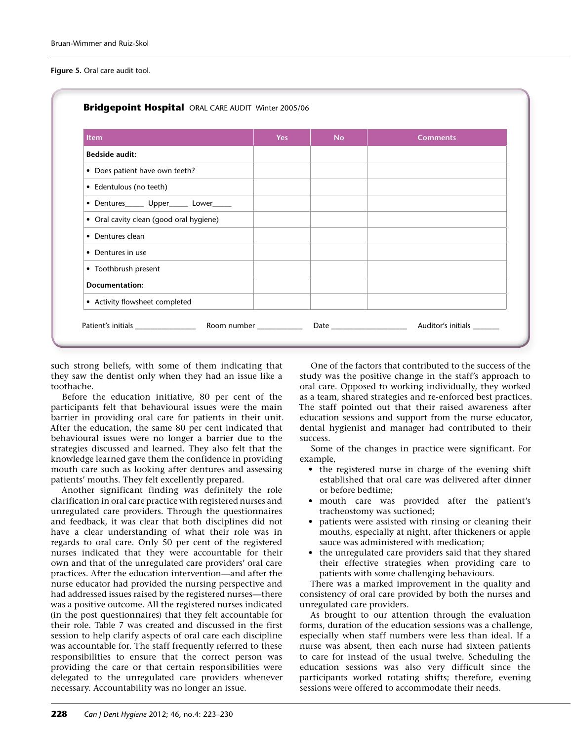**Figure 5.** Oral care audit tool.

| <b>Item</b>                              | <b>Yes</b> | <b>No</b> | <b>Comments</b> |
|------------------------------------------|------------|-----------|-----------------|
| <b>Bedside audit:</b>                    |            |           |                 |
| • Does patient have own teeth?           |            |           |                 |
| • Edentulous (no teeth)                  |            |           |                 |
| • Dentures______ Upper______ Lower______ |            |           |                 |
| • Oral cavity clean (good oral hygiene)  |            |           |                 |
| • Dentures clean                         |            |           |                 |
| • Dentures in use                        |            |           |                 |
| • Toothbrush present                     |            |           |                 |
| Documentation:                           |            |           |                 |
| • Activity flowsheet completed           |            |           |                 |

such strong beliefs, with some of them indicating that they saw the dentist only when they had an issue like a toothache.

Before the education initiative, 80 per cent of the participants felt that behavioural issues were the main barrier in providing oral care for patients in their unit. After the education, the same 80 per cent indicated that behavioural issues were no longer a barrier due to the strategies discussed and learned. They also felt that the knowledge learned gave them the confidence in providing mouth care such as looking after dentures and assessing patients' mouths. They felt excellently prepared.

Another significant finding was definitely the role clarification in oral care practice with registered nurses and unregulated care providers. Through the questionnaires and feedback, it was clear that both disciplines did not have a clear understanding of what their role was in regards to oral care. Only 50 per cent of the registered nurses indicated that they were accountable for their own and that of the unregulated care providers' oral care practices. After the education intervention—and after the nurse educator had provided the nursing perspective and had addressed issues raised by the registered nurses—there was a positive outcome. All the registered nurses indicated (in the post questionnaires) that they felt accountable for their role. Table 7 was created and discussed in the first session to help clarify aspects of oral care each discipline was accountable for. The staff frequently referred to these responsibilities to ensure that the correct person was providing the care or that certain responsibilities were delegated to the unregulated care providers whenever necessary. Accountability was no longer an issue.

One of the factors that contributed to the success of the study was the positive change in the staff's approach to oral care. Opposed to working individually, they worked as a team, shared strategies and re-enforced best practices. The staff pointed out that their raised awareness after education sessions and support from the nurse educator, dental hygienist and manager had contributed to their success.

Some of the changes in practice were significant. For example,

- the registered nurse in charge of the evening shift established that oral care was delivered after dinner or before bedtime;
- • mouth care was provided after the patient's tracheostomy was suctioned;
- patients were assisted with rinsing or cleaning their mouths, especially at night, after thickeners or apple sauce was administered with medication;
- the unregulated care providers said that they shared their effective strategies when providing care to patients with some challenging behaviours.

There was a marked improvement in the quality and consistency of oral care provided by both the nurses and unregulated care providers.

As brought to our attention through the evaluation forms, duration of the education sessions was a challenge, especially when staff numbers were less than ideal. If a nurse was absent, then each nurse had sixteen patients to care for instead of the usual twelve. Scheduling the education sessions was also very difficult since the participants worked rotating shifts; therefore, evening sessions were offered to accommodate their needs.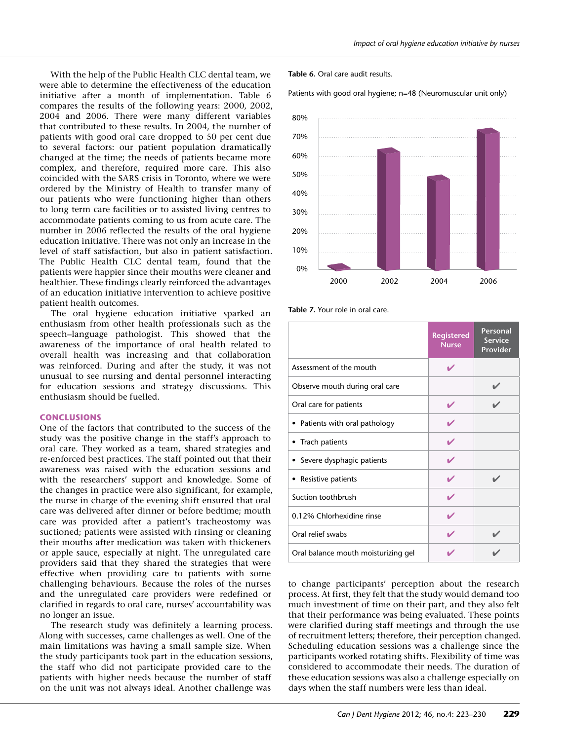With the help of the Public Health CLC dental team, we were able to determine the effectiveness of the education initiative after a month of implementation. Table 6 compares the results of the following years: 2000, 2002, 2004 and 2006. There were many different variables that contributed to these results. In 2004, the number of patients with good oral care dropped to 50 per cent due to several factors: our patient population dramatically changed at the time; the needs of patients became more complex, and therefore, required more care. This also coincided with the SARS crisis in Toronto, where we were ordered by the Ministry of Health to transfer many of our patients who were functioning higher than others to long term care facilities or to assisted living centres to accommodate patients coming to us from acute care. The number in 2006 reflected the results of the oral hygiene education initiative. There was not only an increase in the level of staff satisfaction, but also in patient satisfaction. The Public Health CLC dental team, found that the patients were happier since their mouths were cleaner and healthier. These findings clearly reinforced the advantages of an education initiative intervention to achieve positive patient health outcomes.

The oral hygiene education initiative sparked an enthusiasm from other health professionals such as the speech–language pathologist. This showed that the awareness of the importance of oral health related to overall health was increasing and that collaboration was reinforced. During and after the study, it was not unusual to see nursing and dental personnel interacting for education sessions and strategy discussions. This enthusiasm should be fuelled.

## **CONCLUSIONS**

One of the factors that contributed to the success of the study was the positive change in the staff's approach to oral care. They worked as a team, shared strategies and re-enforced best practices. The staff pointed out that their awareness was raised with the education sessions and with the researchers' support and knowledge. Some of the changes in practice were also significant, for example, the nurse in charge of the evening shift ensured that oral care was delivered after dinner or before bedtime; mouth care was provided after a patient's tracheostomy was suctioned; patients were assisted with rinsing or cleaning their mouths after medication was taken with thickeners or apple sauce, especially at night. The unregulated care providers said that they shared the strategies that were effective when providing care to patients with some challenging behaviours. Because the roles of the nurses and the unregulated care providers were redefined or clarified in regards to oral care, nurses' accountability was no longer an issue.

The research study was definitely a learning process. Along with successes, came challenges as well. One of the main limitations was having a small sample size. When the study participants took part in the education sessions, the staff who did not participate provided care to the patients with higher needs because the number of staff on the unit was not always ideal. Another challenge was

**Table 6.** Oral care audit results.

Patients with good oral hygiene; n=48 (Neuromuscular unit only)



**Table 7.** Your role in oral care.

|                                     | <b>Registered</b><br><b>Nurse</b> | <b>Personal</b><br><b>Service</b><br>Provider |
|-------------------------------------|-----------------------------------|-----------------------------------------------|
| Assessment of the mouth             | ✔                                 |                                               |
| Observe mouth during oral care      |                                   |                                               |
| Oral care for patients              |                                   |                                               |
| • Patients with oral pathology      |                                   |                                               |
| • Trach patients                    |                                   |                                               |
| • Severe dysphagic patients         |                                   |                                               |
| • Resistive patients                |                                   |                                               |
| Suction toothbrush                  |                                   |                                               |
| 0.12% Chlorhexidine rinse           |                                   |                                               |
| Oral relief swabs                   |                                   |                                               |
| Oral balance mouth moisturizing gel |                                   |                                               |

to change participants' perception about the research process. At first, they felt that the study would demand too much investment of time on their part, and they also felt that their performance was being evaluated. These points were clarified during staff meetings and through the use of recruitment letters; therefore, their perception changed. Scheduling education sessions was a challenge since the participants worked rotating shifts. Flexibility of time was considered to accommodate their needs. The duration of these education sessions was also a challenge especially on days when the staff numbers were less than ideal.